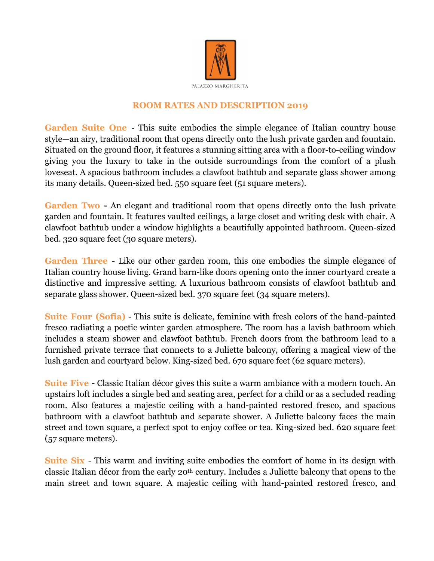

## **ROOM RATES AND DESCRIPTION 2019**

**Garden Suite One** - This suite embodies the simple elegance of Italian country house style—an airy, traditional room that opens directly onto the lush private garden and fountain. Situated on the ground floor, it features a stunning sitting area with a floor-to-ceiling window giving you the luxury to take in the outside surroundings from the comfort of a plush loveseat. A spacious bathroom includes a clawfoot bathtub and separate glass shower among its many details. Queen-sized bed. 550 square feet (51 square meters).

**Garden Two -** An elegant and traditional room that opens directly onto the lush private garden and fountain. It features vaulted ceilings, a large closet and writing desk with chair. A clawfoot bathtub under a window highlights a beautifully appointed bathroom. Queen-sized bed. 320 square feet (30 square meters).

**Garden Three** - Like our other garden room, this one embodies the simple elegance of Italian country house living. Grand barn-like doors opening onto the inner courtyard create a distinctive and impressive setting. A luxurious bathroom consists of clawfoot bathtub and separate glass shower. Queen-sized bed. 370 square feet (34 square meters).

**Suite Four (Sofia)** - This suite is delicate, feminine with fresh colors of the hand-painted fresco radiating a poetic winter garden atmosphere. The room has a lavish bathroom which includes a steam shower and clawfoot bathtub. French doors from the bathroom lead to a furnished private terrace that connects to a Juliette balcony, offering a magical view of the lush garden and courtyard below. King-sized bed. 670 square feet (62 square meters).

**Suite Five** - Classic Italian décor gives this suite a warm ambiance with a modern touch. An upstairs loft includes a single bed and seating area, perfect for a child or as a secluded reading room. Also features a majestic ceiling with a hand-painted restored fresco, and spacious bathroom with a clawfoot bathtub and separate shower. A Juliette balcony faces the main street and town square, a perfect spot to enjoy coffee or tea. King-sized bed. 620 square feet (57 square meters).

**Suite Six** - This warm and inviting suite embodies the comfort of home in its design with classic Italian décor from the early 20th century. Includes a Juliette balcony that opens to the main street and town square. A majestic ceiling with hand-painted restored fresco, and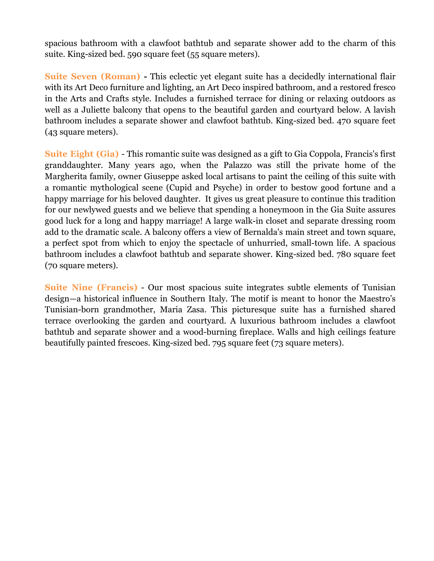spacious bathroom with a clawfoot bathtub and separate shower add to the charm of this suite. King-sized bed. 590 square feet (55 square meters).

**Suite Seven (Roman) -** This eclectic yet elegant suite has a decidedly international flair with its Art Deco furniture and lighting, an Art Deco inspired bathroom, and a restored fresco in the Arts and Crafts style. Includes a furnished terrace for dining or relaxing outdoors as well as a Juliette balcony that opens to the beautiful garden and courtyard below. A lavish bathroom includes a separate shower and clawfoot bathtub. King-sized bed. 470 square feet (43 square meters).

**Suite Eight (Gia)** - This romantic suite was designed as a gift to Gia Coppola, Francis's first granddaughter. Many years ago, when the Palazzo was still the private home of the Margherita family, owner Giuseppe asked local artisans to paint the ceiling of this suite with a romantic mythological scene (Cupid and Psyche) in order to bestow good fortune and a happy marriage for his beloved daughter. It gives us great pleasure to continue this tradition for our newlywed guests and we believe that spending a honeymoon in the Gia Suite assures good luck for a long and happy marriage! A large walk-in closet and separate dressing room add to the dramatic scale. A balcony offers a view of Bernalda's main street and town square, a perfect spot from which to enjoy the spectacle of unhurried, small-town life. A spacious bathroom includes a clawfoot bathtub and separate shower. King-sized bed. 780 square feet (70 square meters).

**Suite Nine (Francis)** - Our most spacious suite integrates subtle elements of Tunisian design—a historical influence in Southern Italy. The motif is meant to honor the Maestro's Tunisian-born grandmother, Maria Zasa. This picturesque suite has a furnished shared terrace overlooking the garden and courtyard. A luxurious bathroom includes a clawfoot bathtub and separate shower and a wood-burning fireplace. Walls and high ceilings feature beautifully painted frescoes. King-sized bed. 795 square feet (73 square meters).